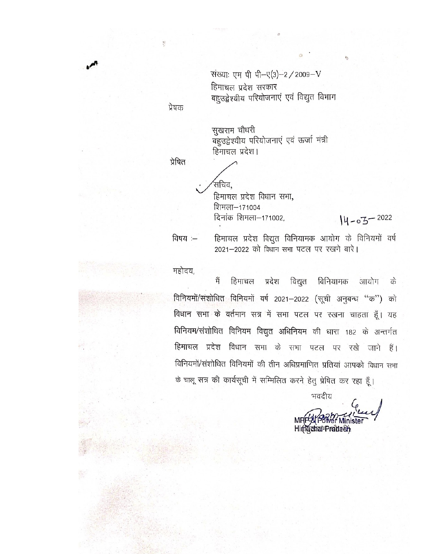संख्याः एम पी पी-ए(3)-2 / 2009-V हिमाचल प्रदेश सरकार बहुउद्वेश्यीय परियोजनाएं एवं विद्युत विभाग

प्रेषक

सुखराम चौधरी बहुउद्वेश्यीय परियोजनाएं एवं ऊर्जा मंत्री हिमाचल प्रदेश।

प्रेषित

.<br>सचिव. हिमाचल प्रदेश विधान सभा, शिमला—171004

दिनांक शिमला-171002.

विषय :-

हिमाचल प्रदेश विद्युत विनियामक आयोग के विनियमों वर्ष 2021-2022 को विधान सभा पटल पर रखने बारे।

 $14 - 03 - 2022$ 

महोदय,

हिमाचल प्रदेश विद्युत विनियामक मैं आयोग के विनियमों/संशोधित विनियमों वर्ष 2021-2022 (सूची अनुबन्ध "क") को विधान सभा के वर्तमान सत्र में सभा पटल पर रखना चाहता हूँ। यह विनियम/संशोधित विनियम विद्युत अधिनियम की धारा 182 के अन्तर्गत हिमाचल प्रदेश विधान सभा के सभा पटल पर रखे जाने हैं। विनियमों/संशोधित विनियमों की तीन अधिप्रमाणित प्रतियां आपको विधान सभा के चालू सत्र की कार्यसूची में सम्मिलित करने हेतु प्रेषित कर रहा हूँ।

भवदीय

Himachal<sup>+</sup>Pradtesh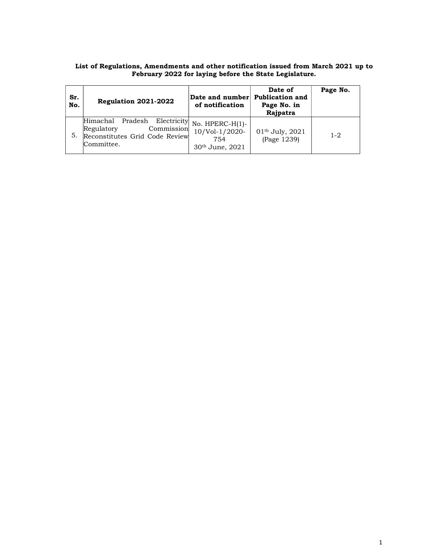| Sr.<br>No. | Regulation 2021-2022                                                                                                        | Date and number<br>of notification                   | Date of<br><b>Publication and</b><br>Page No. in<br>Rajpatra | Page No. |
|------------|-----------------------------------------------------------------------------------------------------------------------------|------------------------------------------------------|--------------------------------------------------------------|----------|
| 5.         | Pradesh Electricity No. HPERC-H(1)-<br>Himachal<br>Regulatory<br>Commission<br>Reconstitutes Grid Code Review<br>Committee. | 10/Vol-1/2020-<br>754<br>30 <sup>th</sup> June, 2021 | 01th July, 2021<br>(Page 1239)                               | $1 - 2$  |

## List of Regulations, Amendments and other notification issued from March 2021 up to February 2022 for laying before the State Legislature.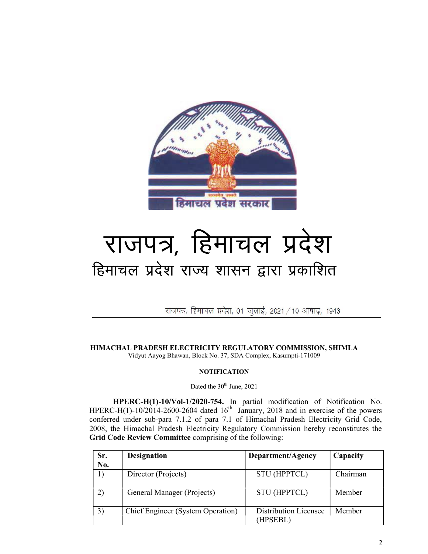

## राजपत्र, हिमाचल प्रदेश हिमाचल प्रदेश राज्य शासन द्वारा प्रकाशित

राजपत्र, हिमाचल प्रदेश, 01 जुलाई, 2021 / 10 आषाढ़, 1943

HIMACHAL PRADESH ELECTRICITY REGULATORY COMMISSION, SHIMLA Vidyut Aayog Bhawan, Block No. 37, SDA Complex, Kasumpti-171009

## **NOTIFICATION**

## Dated the  $30<sup>th</sup>$  June, 2021

HPERC-H(1)-10/Vol-1/2020-754. In partial modification of Notification No. HPERC-H(1)-10/2014-2600-2604 dated  $16<sup>th</sup>$  January, 2018 and in exercise of the powers conferred under sub-para 7.1.2 of para 7.1 of Himachal Pradesh Electricity Grid Code, 2008, the Himachal Pradesh Electricity Regulatory Commission hereby reconstitutes the Grid Code Review Committee comprising of the following:

| Sr. | <b>Designation</b>                | Department/Agency                 | Capacity |
|-----|-----------------------------------|-----------------------------------|----------|
| No. |                                   |                                   |          |
| 1)  | Director (Projects)               | <b>STU (HPPTCL)</b>               | Chairman |
| 2)  | General Manager (Projects)        | <b>STU (HPPTCL)</b>               | Member   |
| 3)  | Chief Engineer (System Operation) | Distribution Licensee<br>(HPSEBL) | Member   |